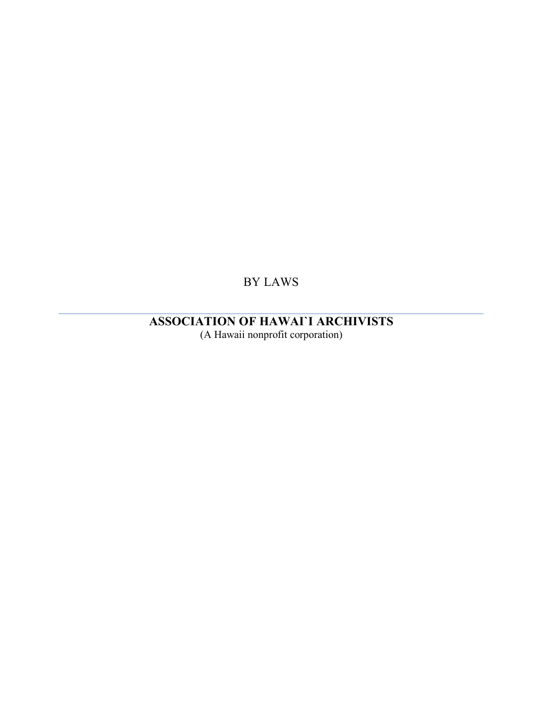BY LAWS

**ASSOCIATION OF HAWAI`I ARCHIVISTS** (A Hawaii nonprofit corporation)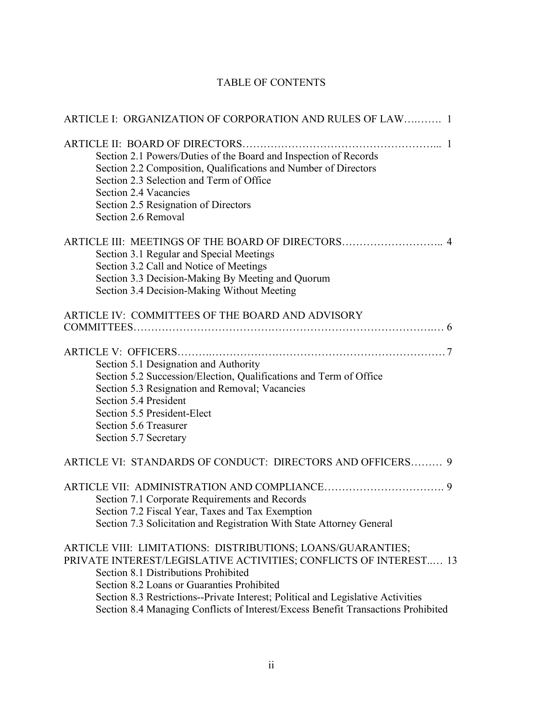# TABLE OF CONTENTS

| ARTICLE I: ORGANIZATION OF CORPORATION AND RULES OF LAW 1                                                                                                                                                                                                                                                                                                                                       |
|-------------------------------------------------------------------------------------------------------------------------------------------------------------------------------------------------------------------------------------------------------------------------------------------------------------------------------------------------------------------------------------------------|
| Section 2.1 Powers/Duties of the Board and Inspection of Records<br>Section 2.2 Composition, Qualifications and Number of Directors<br>Section 2.3 Selection and Term of Office<br>Section 2.4 Vacancies<br>Section 2.5 Resignation of Directors<br>Section 2.6 Removal                                                                                                                         |
| Section 3.1 Regular and Special Meetings<br>Section 3.2 Call and Notice of Meetings<br>Section 3.3 Decision-Making By Meeting and Quorum<br>Section 3.4 Decision-Making Without Meeting                                                                                                                                                                                                         |
| ARTICLE IV: COMMITTEES OF THE BOARD AND ADVISORY                                                                                                                                                                                                                                                                                                                                                |
| Section 5.1 Designation and Authority<br>Section 5.2 Succession/Election, Qualifications and Term of Office<br>Section 5.3 Resignation and Removal; Vacancies<br>Section 5.4 President<br>Section 5.5 President-Elect<br>Section 5.6 Treasurer<br>Section 5.7 Secretary                                                                                                                         |
| ARTICLE VI: STANDARDS OF CONDUCT: DIRECTORS AND OFFICERS 9                                                                                                                                                                                                                                                                                                                                      |
| Section 7.1 Corporate Requirements and Records<br>Section 7.2 Fiscal Year, Taxes and Tax Exemption<br>Section 7.3 Solicitation and Registration With State Attorney General                                                                                                                                                                                                                     |
| ARTICLE VIII: LIMITATIONS: DISTRIBUTIONS; LOANS/GUARANTIES;<br>PRIVATE INTEREST/LEGISLATIVE ACTIVITIES; CONFLICTS OF INTEREST 13<br>Section 8.1 Distributions Prohibited<br>Section 8.2 Loans or Guaranties Prohibited<br>Section 8.3 Restrictions--Private Interest; Political and Legislative Activities<br>Section 8.4 Managing Conflicts of Interest/Excess Benefit Transactions Prohibited |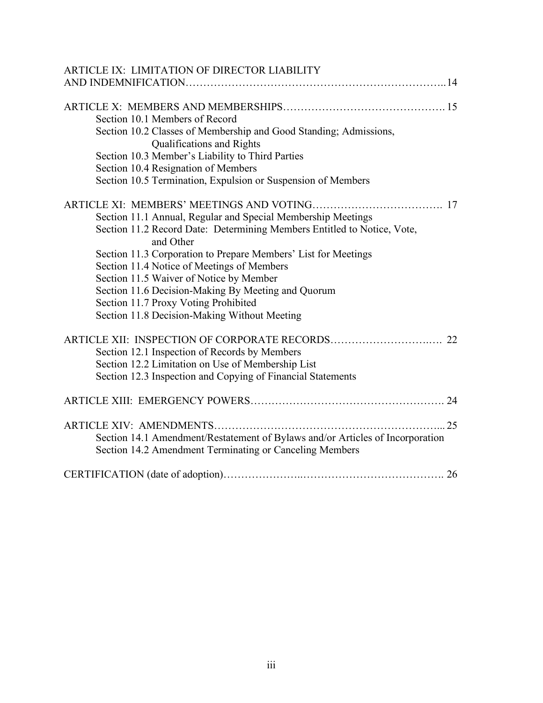| ARTICLE IX: LIMITATION OF DIRECTOR LIABILITY                                  |  |
|-------------------------------------------------------------------------------|--|
|                                                                               |  |
|                                                                               |  |
|                                                                               |  |
| Section 10.1 Members of Record                                                |  |
| Section 10.2 Classes of Membership and Good Standing; Admissions,             |  |
| Qualifications and Rights                                                     |  |
| Section 10.3 Member's Liability to Third Parties                              |  |
| Section 10.4 Resignation of Members                                           |  |
| Section 10.5 Termination, Expulsion or Suspension of Members                  |  |
|                                                                               |  |
| Section 11.1 Annual, Regular and Special Membership Meetings                  |  |
| Section 11.2 Record Date: Determining Members Entitled to Notice, Vote,       |  |
| and Other                                                                     |  |
| Section 11.3 Corporation to Prepare Members' List for Meetings                |  |
| Section 11.4 Notice of Meetings of Members                                    |  |
| Section 11.5 Waiver of Notice by Member                                       |  |
| Section 11.6 Decision-Making By Meeting and Quorum                            |  |
| Section 11.7 Proxy Voting Prohibited                                          |  |
| Section 11.8 Decision-Making Without Meeting                                  |  |
|                                                                               |  |
| Section 12.1 Inspection of Records by Members                                 |  |
| Section 12.2 Limitation on Use of Membership List                             |  |
| Section 12.3 Inspection and Copying of Financial Statements                   |  |
|                                                                               |  |
|                                                                               |  |
|                                                                               |  |
| Section 14.1 Amendment/Restatement of Bylaws and/or Articles of Incorporation |  |
| Section 14.2 Amendment Terminating or Canceling Members                       |  |
|                                                                               |  |
|                                                                               |  |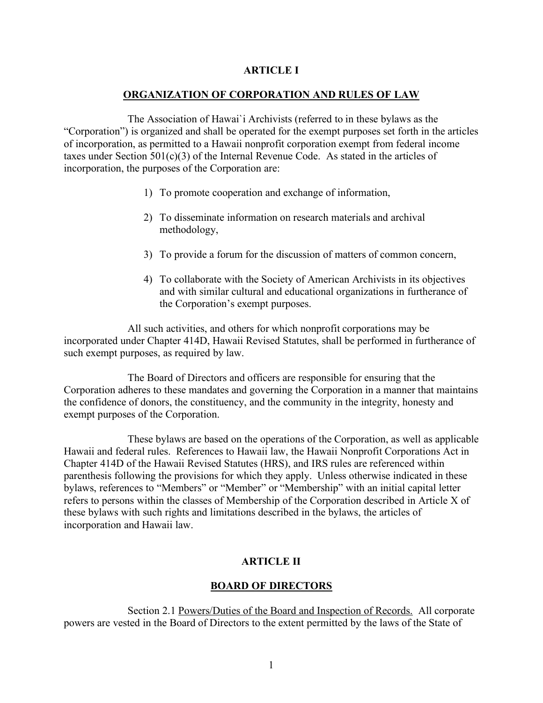## **ARTICLE I**

## **ORGANIZATION OF CORPORATION AND RULES OF LAW**

The Association of Hawai`i Archivists (referred to in these bylaws as the "Corporation") is organized and shall be operated for the exempt purposes set forth in the articles of incorporation, as permitted to a Hawaii nonprofit corporation exempt from federal income taxes under Section 501(c)(3) of the Internal Revenue Code. As stated in the articles of incorporation, the purposes of the Corporation are:

- 1) To promote cooperation and exchange of information,
- 2) To disseminate information on research materials and archival methodology,
- 3) To provide a forum for the discussion of matters of common concern,
- 4) To collaborate with the Society of American Archivists in its objectives and with similar cultural and educational organizations in furtherance of the Corporation's exempt purposes.

 All such activities, and others for which nonprofit corporations may be incorporated under Chapter 414D, Hawaii Revised Statutes, shall be performed in furtherance of such exempt purposes, as required by law.

 The Board of Directors and officers are responsible for ensuring that the Corporation adheres to these mandates and governing the Corporation in a manner that maintains the confidence of donors, the constituency, and the community in the integrity, honesty and exempt purposes of the Corporation.

 These bylaws are based on the operations of the Corporation, as well as applicable Hawaii and federal rules. References to Hawaii law, the Hawaii Nonprofit Corporations Act in Chapter 414D of the Hawaii Revised Statutes (HRS), and IRS rules are referenced within parenthesis following the provisions for which they apply. Unless otherwise indicated in these bylaws, references to "Members" or "Member" or "Membership" with an initial capital letter refers to persons within the classes of Membership of the Corporation described in Article X of these bylaws with such rights and limitations described in the bylaws, the articles of incorporation and Hawaii law.

# **ARTICLE II**

## **BOARD OF DIRECTORS**

 Section 2.1 Powers/Duties of the Board and Inspection of Records. All corporate powers are vested in the Board of Directors to the extent permitted by the laws of the State of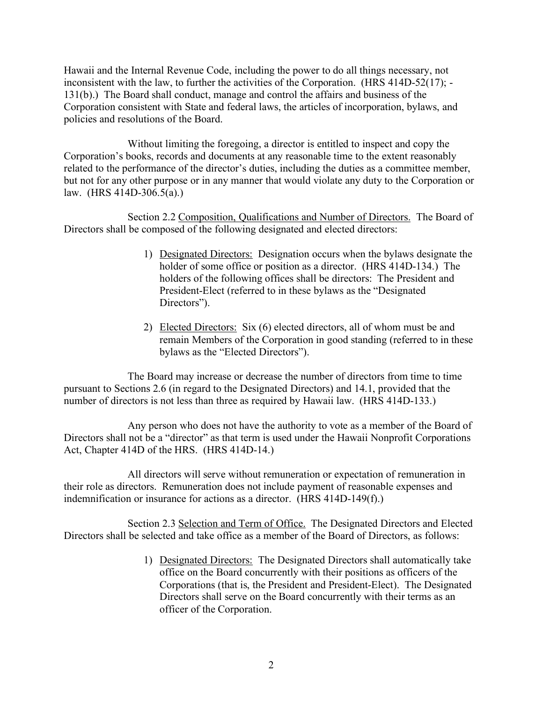Hawaii and the Internal Revenue Code, including the power to do all things necessary, not inconsistent with the law, to further the activities of the Corporation. (HRS 414D-52(17); - 131(b).) The Board shall conduct, manage and control the affairs and business of the Corporation consistent with State and federal laws, the articles of incorporation, bylaws, and policies and resolutions of the Board.

 Without limiting the foregoing, a director is entitled to inspect and copy the Corporation's books, records and documents at any reasonable time to the extent reasonably related to the performance of the director's duties, including the duties as a committee member, but not for any other purpose or in any manner that would violate any duty to the Corporation or law. (HRS 414D-306.5(a).)

Section 2.2 Composition, Qualifications and Number of Directors. The Board of Directors shall be composed of the following designated and elected directors:

- 1) Designated Directors: Designation occurs when the bylaws designate the holder of some office or position as a director. (HRS 414D-134.) The holders of the following offices shall be directors: The President and President-Elect (referred to in these bylaws as the "Designated Directors").
- 2) Elected Directors: Six (6) elected directors, all of whom must be and remain Members of the Corporation in good standing (referred to in these bylaws as the "Elected Directors").

 The Board may increase or decrease the number of directors from time to time pursuant to Sections 2.6 (in regard to the Designated Directors) and 14.1, provided that the number of directors is not less than three as required by Hawaii law. (HRS 414D-133.)

 Any person who does not have the authority to vote as a member of the Board of Directors shall not be a "director" as that term is used under the Hawaii Nonprofit Corporations Act, Chapter 414D of the HRS. (HRS 414D-14.)

 All directors will serve without remuneration or expectation of remuneration in their role as directors. Remuneration does not include payment of reasonable expenses and indemnification or insurance for actions as a director. (HRS 414D-149(f).)

 Section 2.3 Selection and Term of Office. The Designated Directors and Elected Directors shall be selected and take office as a member of the Board of Directors, as follows:

> 1) Designated Directors: The Designated Directors shall automatically take office on the Board concurrently with their positions as officers of the Corporations (that is, the President and President-Elect). The Designated Directors shall serve on the Board concurrently with their terms as an officer of the Corporation.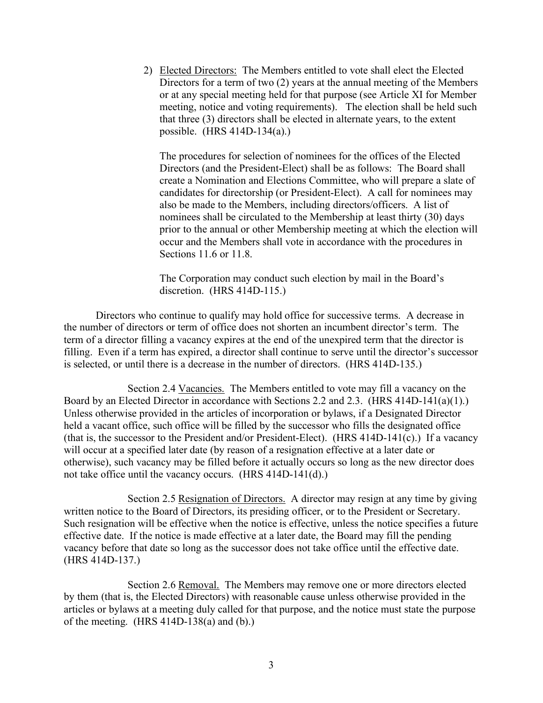2) Elected Directors: The Members entitled to vote shall elect the Elected Directors for a term of two (2) years at the annual meeting of the Members or at any special meeting held for that purpose (see Article XI for Member meeting, notice and voting requirements). The election shall be held such that three (3) directors shall be elected in alternate years, to the extent possible. (HRS 414D-134(a).)

The procedures for selection of nominees for the offices of the Elected Directors (and the President-Elect) shall be as follows: The Board shall create a Nomination and Elections Committee, who will prepare a slate of candidates for directorship (or President-Elect). A call for nominees may also be made to the Members, including directors/officers. A list of nominees shall be circulated to the Membership at least thirty (30) days prior to the annual or other Membership meeting at which the election will occur and the Members shall vote in accordance with the procedures in Sections 11.6 or 11.8.

The Corporation may conduct such election by mail in the Board's discretion. (HRS 414D-115.)

 Directors who continue to qualify may hold office for successive terms. A decrease in the number of directors or term of office does not shorten an incumbent director's term. The term of a director filling a vacancy expires at the end of the unexpired term that the director is filling. Even if a term has expired, a director shall continue to serve until the director's successor is selected, or until there is a decrease in the number of directors. (HRS 414D-135.)

Section 2.4 Vacancies. The Members entitled to vote may fill a vacancy on the Board by an Elected Director in accordance with Sections 2.2 and 2.3. (HRS 414D-141(a)(1).) Unless otherwise provided in the articles of incorporation or bylaws, if a Designated Director held a vacant office, such office will be filled by the successor who fills the designated office (that is, the successor to the President and/or President-Elect). (HRS 414D-141(c).) If a vacancy will occur at a specified later date (by reason of a resignation effective at a later date or otherwise), such vacancy may be filled before it actually occurs so long as the new director does not take office until the vacancy occurs. (HRS 414D-141(d).)

 Section 2.5 Resignation of Directors. A director may resign at any time by giving written notice to the Board of Directors, its presiding officer, or to the President or Secretary. Such resignation will be effective when the notice is effective, unless the notice specifies a future effective date. If the notice is made effective at a later date, the Board may fill the pending vacancy before that date so long as the successor does not take office until the effective date. (HRS 414D-137.)

Section 2.6 Removal. The Members may remove one or more directors elected by them (that is, the Elected Directors) with reasonable cause unless otherwise provided in the articles or bylaws at a meeting duly called for that purpose, and the notice must state the purpose of the meeting. (HRS 414D-138(a) and (b).)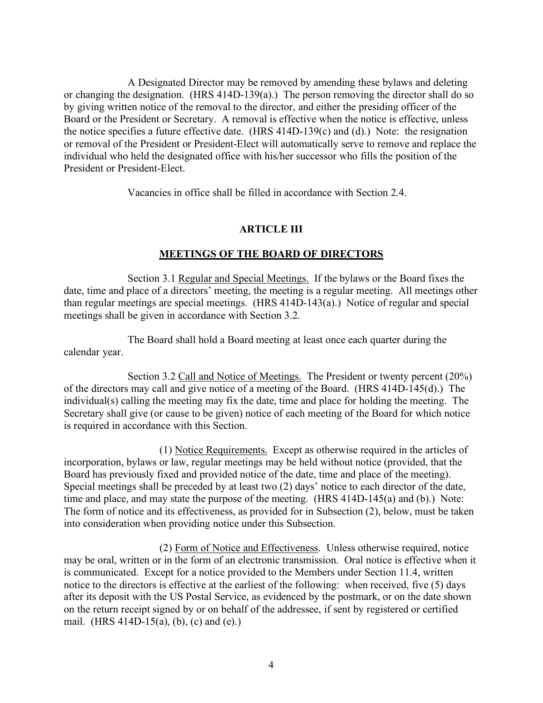A Designated Director may be removed by amending these bylaws and deleting or changing the designation. (HRS 414D-139(a).) The person removing the director shall do so by giving written notice of the removal to the director, and either the presiding officer of the Board or the President or Secretary. A removal is effective when the notice is effective, unless the notice specifies a future effective date. (HRS 414D-139(c) and (d).) Note: the resignation or removal of the President or President-Elect will automatically serve to remove and replace the individual who held the designated office with his/her successor who fills the position of the President or President-Elect.

Vacancies in office shall be filled in accordance with Section 2.4.

## **ARTICLE III**

#### **MEETINGS OF THE BOARD OF DIRECTORS**

Section 3.1 Regular and Special Meetings. If the bylaws or the Board fixes the date, time and place of a directors' meeting, the meeting is a regular meeting. All meetings other than regular meetings are special meetings. (HRS 414D-143(a).) Notice of regular and special meetings shall be given in accordance with Section 3.2.

 The Board shall hold a Board meeting at least once each quarter during the calendar year.

Section 3.2 Call and Notice of Meetings. The President or twenty percent (20%) of the directors may call and give notice of a meeting of the Board. (HRS 414D-145(d).) The individual(s) calling the meeting may fix the date, time and place for holding the meeting. The Secretary shall give (or cause to be given) notice of each meeting of the Board for which notice is required in accordance with this Section.

 (1) Notice Requirements. Except as otherwise required in the articles of incorporation, bylaws or law, regular meetings may be held without notice (provided, that the Board has previously fixed and provided notice of the date, time and place of the meeting). Special meetings shall be preceded by at least two (2) days' notice to each director of the date, time and place, and may state the purpose of the meeting. (HRS 414D-145(a) and (b).) Note: The form of notice and its effectiveness, as provided for in Subsection (2), below, must be taken into consideration when providing notice under this Subsection.

 (2) Form of Notice and Effectiveness. Unless otherwise required, notice may be oral, written or in the form of an electronic transmission. Oral notice is effective when it is communicated. Except for a notice provided to the Members under Section 11.4, written notice to the directors is effective at the earliest of the following: when received, five (5) days after its deposit with the US Postal Service, as evidenced by the postmark, or on the date shown on the return receipt signed by or on behalf of the addressee, if sent by registered or certified mail. (HRS 414D-15(a), (b), (c) and (e).)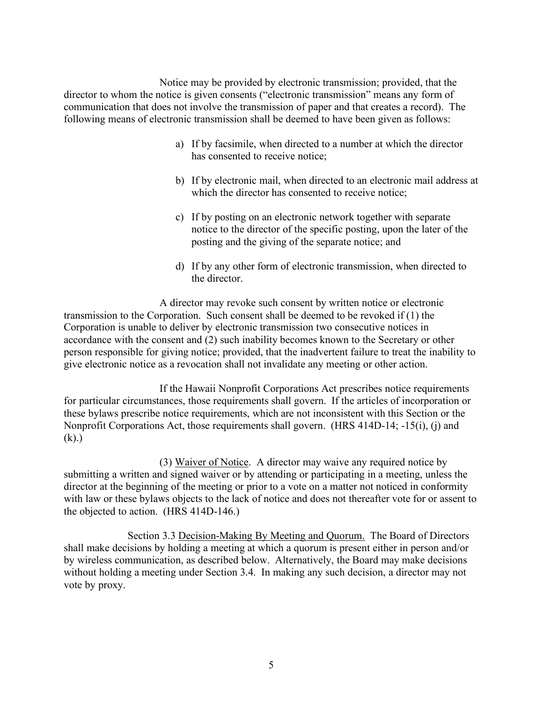Notice may be provided by electronic transmission; provided, that the director to whom the notice is given consents ("electronic transmission" means any form of communication that does not involve the transmission of paper and that creates a record). The following means of electronic transmission shall be deemed to have been given as follows:

- a) If by facsimile, when directed to a number at which the director has consented to receive notice;
- b) If by electronic mail, when directed to an electronic mail address at which the director has consented to receive notice;
- c) If by posting on an electronic network together with separate notice to the director of the specific posting, upon the later of the posting and the giving of the separate notice; and
- d) If by any other form of electronic transmission, when directed to the director.

 A director may revoke such consent by written notice or electronic transmission to the Corporation. Such consent shall be deemed to be revoked if (1) the Corporation is unable to deliver by electronic transmission two consecutive notices in accordance with the consent and (2) such inability becomes known to the Secretary or other person responsible for giving notice; provided, that the inadvertent failure to treat the inability to give electronic notice as a revocation shall not invalidate any meeting or other action.

 If the Hawaii Nonprofit Corporations Act prescribes notice requirements for particular circumstances, those requirements shall govern. If the articles of incorporation or these bylaws prescribe notice requirements, which are not inconsistent with this Section or the Nonprofit Corporations Act, those requirements shall govern. (HRS 414D-14; -15(i), (j) and  $(k)$ .)

 (3) Waiver of Notice. A director may waive any required notice by submitting a written and signed waiver or by attending or participating in a meeting, unless the director at the beginning of the meeting or prior to a vote on a matter not noticed in conformity with law or these bylaws objects to the lack of notice and does not thereafter vote for or assent to the objected to action. (HRS 414D-146.)

 Section 3.3 Decision-Making By Meeting and Quorum. The Board of Directors shall make decisions by holding a meeting at which a quorum is present either in person and/or by wireless communication, as described below. Alternatively, the Board may make decisions without holding a meeting under Section 3.4. In making any such decision, a director may not vote by proxy.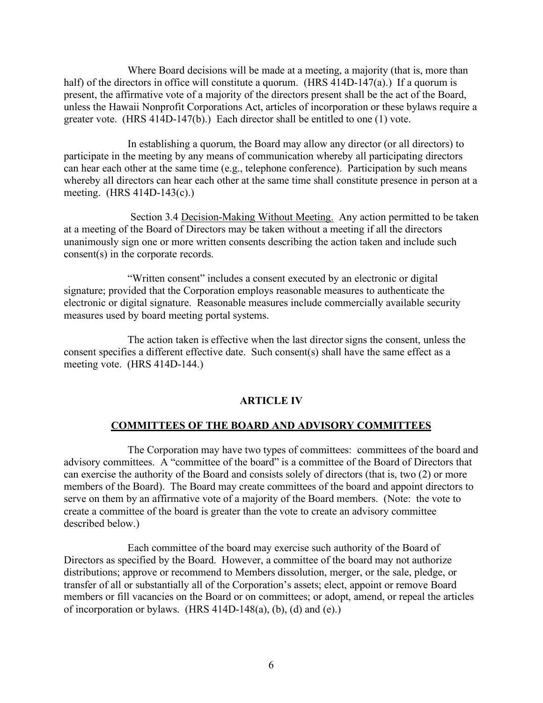Where Board decisions will be made at a meeting, a majority (that is, more than half) of the directors in office will constitute a quorum. (HRS 414D-147(a).) If a quorum is present, the affirmative vote of a majority of the directors present shall be the act of the Board, unless the Hawaii Nonprofit Corporations Act, articles of incorporation or these bylaws require a greater vote. (HRS 414D-147(b).) Each director shall be entitled to one (1) vote.

 In establishing a quorum, the Board may allow any director (or all directors) to participate in the meeting by any means of communication whereby all participating directors can hear each other at the same time (e.g., telephone conference). Participation by such means whereby all directors can hear each other at the same time shall constitute presence in person at a meeting. (HRS 414D-143(c).)

Section 3.4 Decision-Making Without Meeting. Any action permitted to be taken at a meeting of the Board of Directors may be taken without a meeting if all the directors unanimously sign one or more written consents describing the action taken and include such consent(s) in the corporate records.

 "Written consent" includes a consent executed by an electronic or digital signature; provided that the Corporation employs reasonable measures to authenticate the electronic or digital signature. Reasonable measures include commercially available security measures used by board meeting portal systems.

 The action taken is effective when the last director signs the consent, unless the consent specifies a different effective date. Such consent(s) shall have the same effect as a meeting vote. (HRS 414D-144.)

#### **ARTICLE IV**

#### **COMMITTEES OF THE BOARD AND ADVISORY COMMITTEES**

The Corporation may have two types of committees: committees of the board and advisory committees. A "committee of the board" is a committee of the Board of Directors that can exercise the authority of the Board and consists solely of directors (that is, two (2) or more members of the Board). The Board may create committees of the board and appoint directors to serve on them by an affirmative vote of a majority of the Board members. (Note: the vote to create a committee of the board is greater than the vote to create an advisory committee described below.)

 Each committee of the board may exercise such authority of the Board of Directors as specified by the Board. However, a committee of the board may not authorize distributions; approve or recommend to Members dissolution, merger, or the sale, pledge, or transfer of all or substantially all of the Corporation's assets; elect, appoint or remove Board members or fill vacancies on the Board or on committees; or adopt, amend, or repeal the articles of incorporation or bylaws.  $(HRS 414D-148(a), (b), (d)$  and  $(e).)$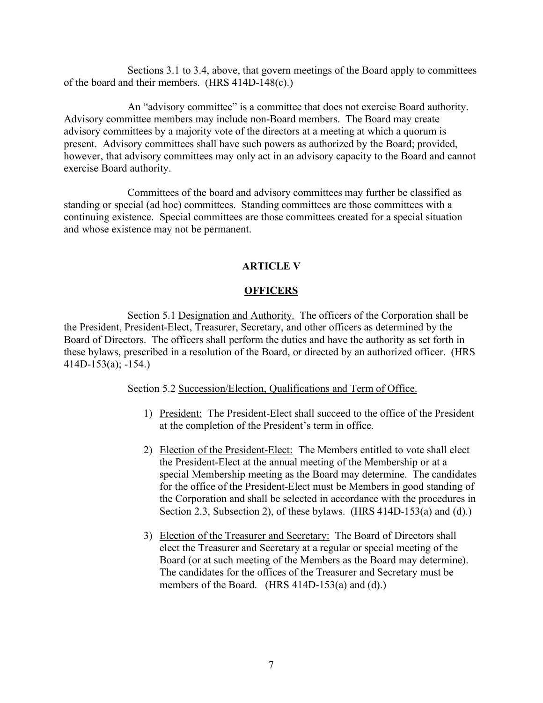Sections 3.1 to 3.4, above, that govern meetings of the Board apply to committees of the board and their members. (HRS 414D-148(c).)

 An "advisory committee" is a committee that does not exercise Board authority. Advisory committee members may include non-Board members. The Board may create advisory committees by a majority vote of the directors at a meeting at which a quorum is present. Advisory committees shall have such powers as authorized by the Board; provided, however, that advisory committees may only act in an advisory capacity to the Board and cannot exercise Board authority.

 Committees of the board and advisory committees may further be classified as standing or special (ad hoc) committees. Standing committees are those committees with a continuing existence. Special committees are those committees created for a special situation and whose existence may not be permanent.

# **ARTICLE V**

## **OFFICERS**

Section 5.1 Designation and Authority. The officers of the Corporation shall be the President, President-Elect, Treasurer, Secretary, and other officers as determined by the Board of Directors. The officers shall perform the duties and have the authority as set forth in these bylaws, prescribed in a resolution of the Board, or directed by an authorized officer. (HRS 414D-153(a); -154.)

Section 5.2 Succession/Election, Qualifications and Term of Office.

- 1) President: The President-Elect shall succeed to the office of the President at the completion of the President's term in office.
- 2) Election of the President-Elect: The Members entitled to vote shall elect the President-Elect at the annual meeting of the Membership or at a special Membership meeting as the Board may determine. The candidates for the office of the President-Elect must be Members in good standing of the Corporation and shall be selected in accordance with the procedures in Section 2.3, Subsection 2), of these bylaws. (HRS 414D-153(a) and (d).)
- 3) Election of the Treasurer and Secretary: The Board of Directors shall elect the Treasurer and Secretary at a regular or special meeting of the Board (or at such meeting of the Members as the Board may determine). The candidates for the offices of the Treasurer and Secretary must be members of the Board. (HRS 414D-153(a) and (d).)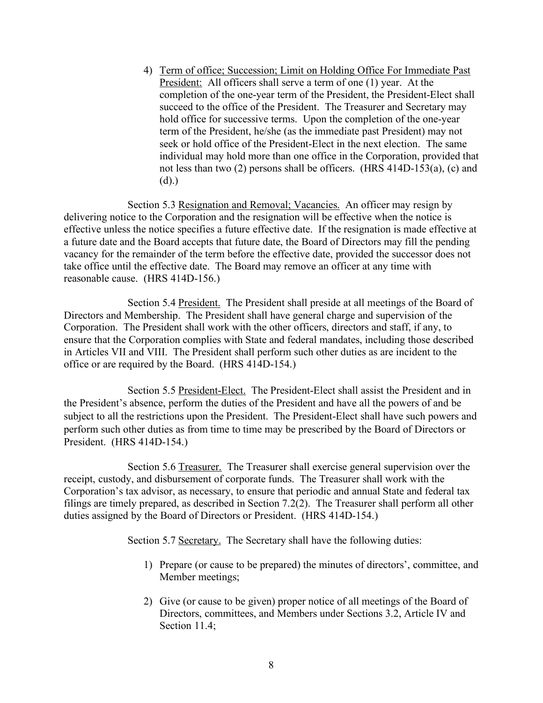4) Term of office; Succession; Limit on Holding Office For Immediate Past President: All officers shall serve a term of one (1) year. At the completion of the one-year term of the President, the President-Elect shall succeed to the office of the President. The Treasurer and Secretary may hold office for successive terms. Upon the completion of the one-year term of the President, he/she (as the immediate past President) may not seek or hold office of the President-Elect in the next election. The same individual may hold more than one office in the Corporation, provided that not less than two (2) persons shall be officers. (HRS 414D-153(a), (c) and (d).)

Section 5.3 Resignation and Removal; Vacancies. An officer may resign by delivering notice to the Corporation and the resignation will be effective when the notice is effective unless the notice specifies a future effective date. If the resignation is made effective at a future date and the Board accepts that future date, the Board of Directors may fill the pending vacancy for the remainder of the term before the effective date, provided the successor does not take office until the effective date. The Board may remove an officer at any time with reasonable cause. (HRS 414D-156.)

Section 5.4 President. The President shall preside at all meetings of the Board of Directors and Membership. The President shall have general charge and supervision of the Corporation. The President shall work with the other officers, directors and staff, if any, to ensure that the Corporation complies with State and federal mandates, including those described in Articles VII and VIII. The President shall perform such other duties as are incident to the office or are required by the Board. (HRS 414D-154.)

 Section 5.5 President-Elect. The President-Elect shall assist the President and in the President's absence, perform the duties of the President and have all the powers of and be subject to all the restrictions upon the President. The President-Elect shall have such powers and perform such other duties as from time to time may be prescribed by the Board of Directors or President. (HRS 414D-154.)

Section 5.6 Treasurer. The Treasurer shall exercise general supervision over the receipt, custody, and disbursement of corporate funds. The Treasurer shall work with the Corporation's tax advisor, as necessary, to ensure that periodic and annual State and federal tax filings are timely prepared, as described in Section 7.2(2). The Treasurer shall perform all other duties assigned by the Board of Directors or President. (HRS 414D-154.)

Section 5.7 Secretary. The Secretary shall have the following duties:

- 1) Prepare (or cause to be prepared) the minutes of directors', committee, and Member meetings;
- 2) Give (or cause to be given) proper notice of all meetings of the Board of Directors, committees, and Members under Sections 3.2, Article IV and Section 11.4;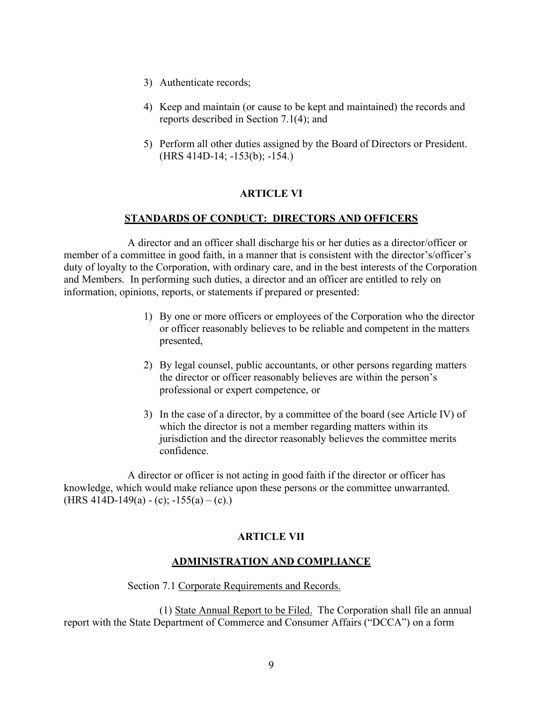- 3) Authenticate records;
- 4) Keep and maintain (or cause to be kept and maintained) the records and reports described in Section 7.1(4); and
- 5) Perform all other duties assigned by the Board of Directors or President. (HRS 414D-14; -153(b); -154.)

## **ARTICLE VI**

## **STANDARDS OF CONDUCT: DIRECTORS AND OFFICERS**

 A director and an officer shall discharge his or her duties as a director/officer or member of a committee in good faith, in a manner that is consistent with the director's/officer's duty of loyalty to the Corporation, with ordinary care, and in the best interests of the Corporation and Members. In performing such duties, a director and an officer are entitled to rely on information, opinions, reports, or statements if prepared or presented:

- 1) By one or more officers or employees of the Corporation who the director or officer reasonably believes to be reliable and competent in the matters presented,
- 2) By legal counsel, public accountants, or other persons regarding matters the director or officer reasonably believes are within the person's professional or expert competence, or
- 3) In the case of a director, by a committee of the board (see Article IV) of which the director is not a member regarding matters within its jurisdiction and the director reasonably believes the committee merits confidence.

 A director or officer is not acting in good faith if the director or officer has knowledge, which would make reliance upon these persons or the committee unwarranted.  $(HRS 414D-149(a) - (c); -155(a) - (c).)$ 

# **ARTICLE VII**

## **ADMINISTRATION AND COMPLIANCE**

## Section 7.1 Corporate Requirements and Records.

 (1) State Annual Report to be Filed. The Corporation shall file an annual report with the State Department of Commerce and Consumer Affairs ("DCCA") on a form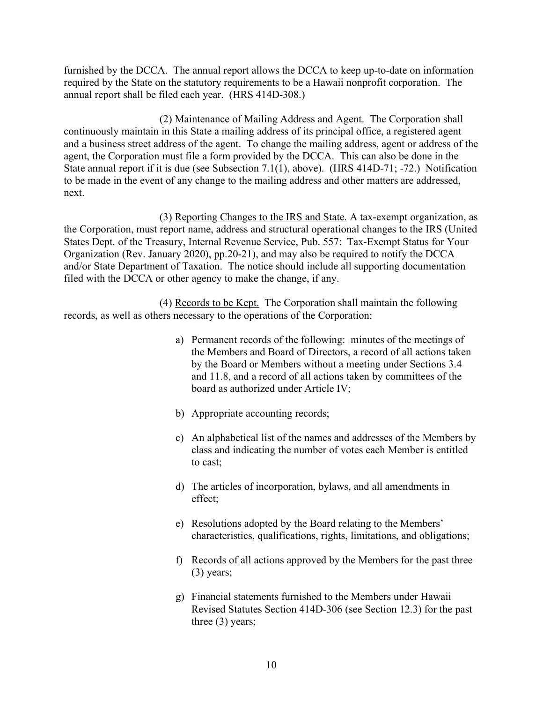furnished by the DCCA. The annual report allows the DCCA to keep up-to-date on information required by the State on the statutory requirements to be a Hawaii nonprofit corporation. The annual report shall be filed each year. (HRS 414D-308.)

(2) Maintenance of Mailing Address and Agent. The Corporation shall continuously maintain in this State a mailing address of its principal office, a registered agent and a business street address of the agent. To change the mailing address, agent or address of the agent, the Corporation must file a form provided by the DCCA. This can also be done in the State annual report if it is due (see Subsection 7.1(1), above). (HRS 414D-71; -72.) Notification to be made in the event of any change to the mailing address and other matters are addressed, next.

 (3) Reporting Changes to the IRS and State. A tax-exempt organization, as the Corporation, must report name, address and structural operational changes to the IRS (United States Dept. of the Treasury, Internal Revenue Service, Pub. 557: Tax-Exempt Status for Your Organization (Rev. January 2020), pp.20-21), and may also be required to notify the DCCA and/or State Department of Taxation. The notice should include all supporting documentation filed with the DCCA or other agency to make the change, if any.

 (4) Records to be Kept. The Corporation shall maintain the following records, as well as others necessary to the operations of the Corporation:

- a) Permanent records of the following: minutes of the meetings of the Members and Board of Directors, a record of all actions taken by the Board or Members without a meeting under Sections 3.4 and 11.8, and a record of all actions taken by committees of the board as authorized under Article IV;
- b) Appropriate accounting records;
- c) An alphabetical list of the names and addresses of the Members by class and indicating the number of votes each Member is entitled to cast;
- d) The articles of incorporation, bylaws, and all amendments in effect;
- e) Resolutions adopted by the Board relating to the Members' characteristics, qualifications, rights, limitations, and obligations;
- f) Records of all actions approved by the Members for the past three (3) years;
- g) Financial statements furnished to the Members under Hawaii Revised Statutes Section 414D-306 (see Section 12.3) for the past three (3) years;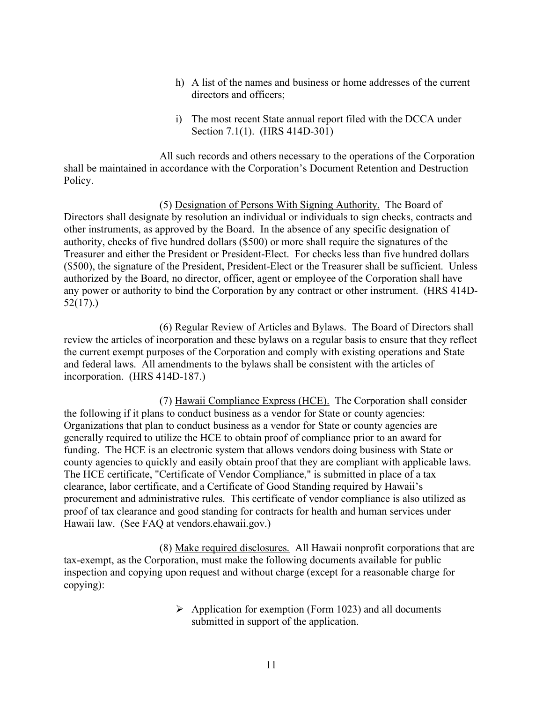- h) A list of the names and business or home addresses of the current directors and officers;
- i) The most recent State annual report filed with the DCCA under Section 7.1(1). (HRS 414D-301)

All such records and others necessary to the operations of the Corporation shall be maintained in accordance with the Corporation's Document Retention and Destruction Policy.

 (5) Designation of Persons With Signing Authority.The Board of Directors shall designate by resolution an individual or individuals to sign checks, contracts and other instruments, as approved by the Board. In the absence of any specific designation of authority, checks of five hundred dollars (\$500) or more shall require the signatures of the Treasurer and either the President or President-Elect. For checks less than five hundred dollars (\$500), the signature of the President, President-Elect or the Treasurer shall be sufficient. Unless authorized by the Board, no director, officer, agent or employee of the Corporation shall have any power or authority to bind the Corporation by any contract or other instrument. (HRS 414D-52(17).)

 (6) Regular Review of Articles and Bylaws. The Board of Directors shall review the articles of incorporation and these bylaws on a regular basis to ensure that they reflect the current exempt purposes of the Corporation and comply with existing operations and State and federal laws. All amendments to the bylaws shall be consistent with the articles of incorporation. (HRS 414D-187.)

 (7) Hawaii Compliance Express (HCE). The Corporation shall consider the following if it plans to conduct business as a vendor for State or county agencies: Organizations that plan to conduct business as a vendor for State or county agencies are generally required to utilize the HCE to obtain proof of compliance prior to an award for funding. The HCE is an electronic system that allows vendors doing business with State or county agencies to quickly and easily obtain proof that they are compliant with applicable laws. The HCE certificate, "Certificate of Vendor Compliance," is submitted in place of a tax clearance, labor certificate, and a Certificate of Good Standing required by Hawaii's procurement and administrative rules. This certificate of vendor compliance is also utilized as proof of tax clearance and good standing for contracts for health and human services under Hawaii law. (See FAQ at vendors.ehawaii.gov.)

 (8) Make required disclosures. All Hawaii nonprofit corporations that are tax-exempt, as the Corporation, must make the following documents available for public inspection and copying upon request and without charge (except for a reasonable charge for copying):

> $\triangleright$  Application for exemption (Form 1023) and all documents submitted in support of the application.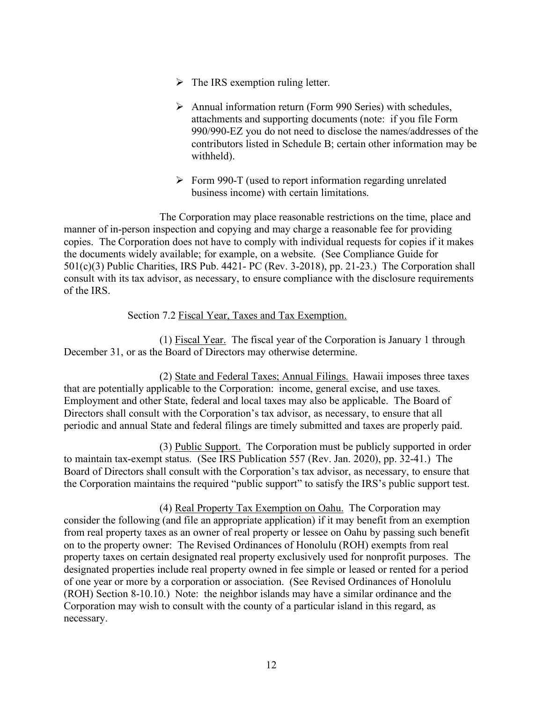- $\triangleright$  The IRS exemption ruling letter.
- $\triangleright$  Annual information return (Form 990 Series) with schedules, attachments and supporting documents (note: if you file Form 990/990-EZ you do not need to disclose the names/addresses of the contributors listed in Schedule B; certain other information may be withheld).
- $\triangleright$  Form 990-T (used to report information regarding unrelated business income) with certain limitations.

 The Corporation may place reasonable restrictions on the time, place and manner of in-person inspection and copying and may charge a reasonable fee for providing copies. The Corporation does not have to comply with individual requests for copies if it makes the documents widely available; for example, on a website. (See Compliance Guide for 501(c)(3) Public Charities, IRS Pub. 4421- PC (Rev. 3-2018), pp. 21-23.) The Corporation shall consult with its tax advisor, as necessary, to ensure compliance with the disclosure requirements of the IRS.

## Section 7.2 Fiscal Year, Taxes and Tax Exemption.

 (1) Fiscal Year. The fiscal year of the Corporation is January 1 through December 31, or as the Board of Directors may otherwise determine.

 (2) State and Federal Taxes; Annual Filings. Hawaii imposes three taxes that are potentially applicable to the Corporation: income, general excise, and use taxes. Employment and other State, federal and local taxes may also be applicable. The Board of Directors shall consult with the Corporation's tax advisor, as necessary, to ensure that all periodic and annual State and federal filings are timely submitted and taxes are properly paid.

 (3) Public Support. The Corporation must be publicly supported in order to maintain tax-exempt status. (See IRS Publication 557 (Rev. Jan. 2020), pp. 32-41.) The Board of Directors shall consult with the Corporation's tax advisor, as necessary, to ensure that the Corporation maintains the required "public support" to satisfy the IRS's public support test.

(4) Real Property Tax Exemption on Oahu. The Corporation may consider the following (and file an appropriate application) if it may benefit from an exemption from real property taxes as an owner of real property or lessee on Oahu by passing such benefit on to the property owner: The Revised Ordinances of Honolulu (ROH) exempts from real property taxes on certain designated real property exclusively used for nonprofit purposes. The designated properties include real property owned in fee simple or leased or rented for a period of one year or more by a corporation or association. (See Revised Ordinances of Honolulu (ROH) Section 8-10.10.) Note: the neighbor islands may have a similar ordinance and the Corporation may wish to consult with the county of a particular island in this regard, as necessary.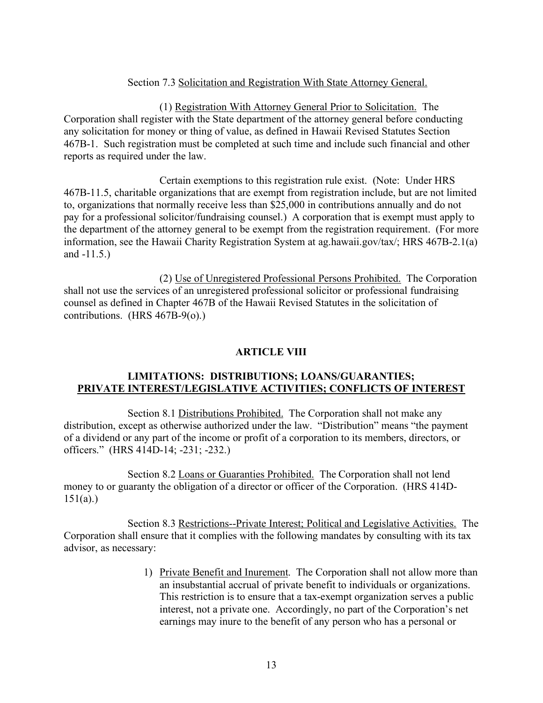# Section 7.3 Solicitation and Registration With State Attorney General.

 (1) Registration With Attorney General Prior to Solicitation. The Corporation shall register with the State department of the attorney general before conducting any solicitation for money or thing of value, as defined in Hawaii Revised Statutes Section 467B-1. Such registration must be completed at such time and include such financial and other reports as required under the law.

 Certain exemptions to this registration rule exist. (Note: Under HRS 467B-11.5, charitable organizations that are exempt from registration include, but are not limited to, organizations that normally receive less than \$25,000 in contributions annually and do not pay for a professional solicitor/fundraising counsel.) A corporation that is exempt must apply to the department of the attorney general to be exempt from the registration requirement. (For more information, see the Hawaii Charity Registration System at ag.hawaii.gov/tax/; HRS 467B-2.1(a) and -11.5.)

 (2) Use of Unregistered Professional Persons Prohibited. The Corporation shall not use the services of an unregistered professional solicitor or professional fundraising counsel as defined in Chapter 467B of the Hawaii Revised Statutes in the solicitation of contributions. (HRS 467B-9(o).)

#### **ARTICLE VIII**

## **LIMITATIONS: DISTRIBUTIONS; LOANS/GUARANTIES; PRIVATE INTEREST/LEGISLATIVE ACTIVITIES; CONFLICTS OF INTEREST**

Section 8.1 Distributions Prohibited. The Corporation shall not make any distribution, except as otherwise authorized under the law. "Distribution" means "the payment of a dividend or any part of the income or profit of a corporation to its members, directors, or officers." (HRS 414D-14; -231; -232.)

 Section 8.2 Loans or Guaranties Prohibited. The Corporation shall not lend money to or guaranty the obligation of a director or officer of the Corporation. (HRS 414D-151(a).)

 Section 8.3 Restrictions--Private Interest; Political and Legislative Activities. The Corporation shall ensure that it complies with the following mandates by consulting with its tax advisor, as necessary:

> 1) Private Benefit and Inurement. The Corporation shall not allow more than an insubstantial accrual of private benefit to individuals or organizations. This restriction is to ensure that a tax-exempt organization serves a public interest, not a private one. Accordingly, no part of the Corporation's net earnings may inure to the benefit of any person who has a personal or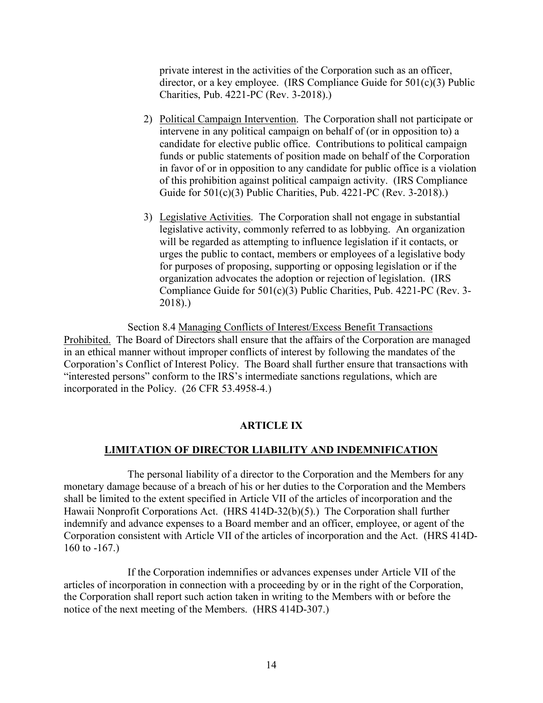private interest in the activities of the Corporation such as an officer, director, or a key employee. (IRS Compliance Guide for  $501(c)(3)$  Public Charities, Pub. 4221-PC (Rev. 3-2018).)

- 2) Political Campaign Intervention. The Corporation shall not participate or intervene in any political campaign on behalf of (or in opposition to) a candidate for elective public office. Contributions to political campaign funds or public statements of position made on behalf of the Corporation in favor of or in opposition to any candidate for public office is a violation of this prohibition against political campaign activity. (IRS Compliance Guide for 501(c)(3) Public Charities, Pub. 4221-PC (Rev. 3-2018).)
- 3) Legislative Activities. The Corporation shall not engage in substantial legislative activity, commonly referred to as lobbying. An organization will be regarded as attempting to influence legislation if it contacts, or urges the public to contact, members or employees of a legislative body for purposes of proposing, supporting or opposing legislation or if the organization advocates the adoption or rejection of legislation. (IRS Compliance Guide for 501(c)(3) Public Charities, Pub. 4221-PC (Rev. 3- 2018).)

 Section 8.4 Managing Conflicts of Interest/Excess Benefit Transactions Prohibited. The Board of Directors shall ensure that the affairs of the Corporation are managed in an ethical manner without improper conflicts of interest by following the mandates of the Corporation's Conflict of Interest Policy. The Board shall further ensure that transactions with "interested persons" conform to the IRS's intermediate sanctions regulations, which are incorporated in the Policy. (26 CFR 53.4958-4.)

## **ARTICLE IX**

## **LIMITATION OF DIRECTOR LIABILITY AND INDEMNIFICATION**

The personal liability of a director to the Corporation and the Members for any monetary damage because of a breach of his or her duties to the Corporation and the Members shall be limited to the extent specified in Article VII of the articles of incorporation and the Hawaii Nonprofit Corporations Act. (HRS 414D-32(b)(5).) The Corporation shall further indemnify and advance expenses to a Board member and an officer, employee, or agent of the Corporation consistent with Article VII of the articles of incorporation and the Act. (HRS 414D-160 to -167.)

 If the Corporation indemnifies or advances expenses under Article VII of the articles of incorporation in connection with a proceeding by or in the right of the Corporation, the Corporation shall report such action taken in writing to the Members with or before the notice of the next meeting of the Members. (HRS 414D-307.)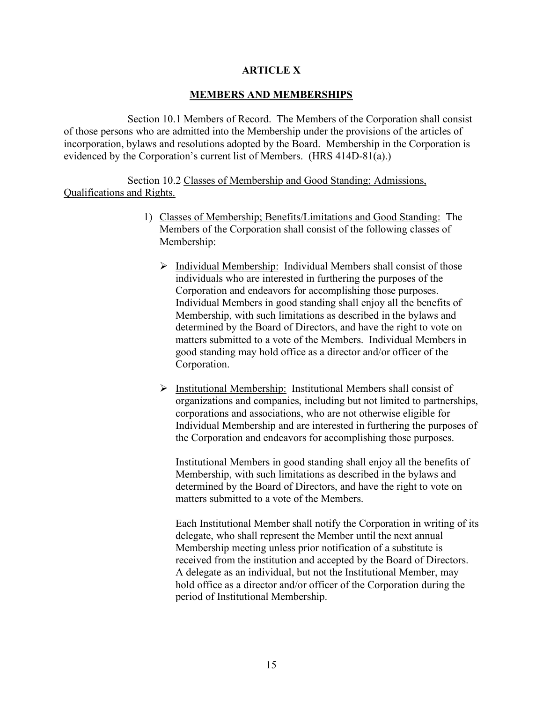## **ARTICLE X**

## **MEMBERS AND MEMBERSHIPS**

 Section 10.1 Members of Record. The Members of the Corporation shall consist of those persons who are admitted into the Membership under the provisions of the articles of incorporation, bylaws and resolutions adopted by the Board. Membership in the Corporation is evidenced by the Corporation's current list of Members. (HRS 414D-81(a).)

 Section 10.2 Classes of Membership and Good Standing; Admissions, Qualifications and Rights.

- 1) Classes of Membership; Benefits/Limitations and Good Standing: The Members of the Corporation shall consist of the following classes of Membership:
	- $\triangleright$  Individual Membership: Individual Members shall consist of those individuals who are interested in furthering the purposes of the Corporation and endeavors for accomplishing those purposes. Individual Members in good standing shall enjoy all the benefits of Membership, with such limitations as described in the bylaws and determined by the Board of Directors, and have the right to vote on matters submitted to a vote of the Members. Individual Members in good standing may hold office as a director and/or officer of the Corporation.
	- Ø Institutional Membership: Institutional Members shall consist of organizations and companies, including but not limited to partnerships, corporations and associations, who are not otherwise eligible for Individual Membership and are interested in furthering the purposes of the Corporation and endeavors for accomplishing those purposes.

Institutional Members in good standing shall enjoy all the benefits of Membership, with such limitations as described in the bylaws and determined by the Board of Directors, and have the right to vote on matters submitted to a vote of the Members.

Each Institutional Member shall notify the Corporation in writing of its delegate, who shall represent the Member until the next annual Membership meeting unless prior notification of a substitute is received from the institution and accepted by the Board of Directors. A delegate as an individual, but not the Institutional Member, may hold office as a director and/or officer of the Corporation during the period of Institutional Membership.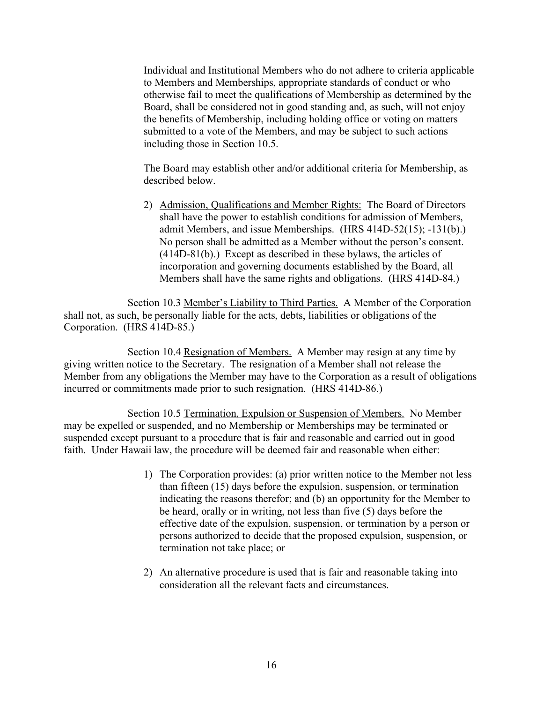Individual and Institutional Members who do not adhere to criteria applicable to Members and Memberships, appropriate standards of conduct or who otherwise fail to meet the qualifications of Membership as determined by the Board, shall be considered not in good standing and, as such, will not enjoy the benefits of Membership, including holding office or voting on matters submitted to a vote of the Members, and may be subject to such actions including those in Section 10.5.

The Board may establish other and/or additional criteria for Membership, as described below.

2) Admission, Qualifications and Member Rights: The Board of Directors shall have the power to establish conditions for admission of Members, admit Members, and issue Memberships. (HRS 414D-52(15); -131(b).) No person shall be admitted as a Member without the person's consent. (414D-81(b).) Except as described in these bylaws, the articles of incorporation and governing documents established by the Board, all Members shall have the same rights and obligations. (HRS 414D-84.)

Section 10.3 Member's Liability to Third Parties. A Member of the Corporation shall not, as such, be personally liable for the acts, debts, liabilities or obligations of the Corporation. (HRS 414D-85.)

Section 10.4 Resignation of Members. A Member may resign at any time by giving written notice to the Secretary. The resignation of a Member shall not release the Member from any obligations the Member may have to the Corporation as a result of obligations incurred or commitments made prior to such resignation. (HRS 414D-86.)

 Section 10.5 Termination, Expulsion or Suspension of Members. No Member may be expelled or suspended, and no Membership or Memberships may be terminated or suspended except pursuant to a procedure that is fair and reasonable and carried out in good faith. Under Hawaii law, the procedure will be deemed fair and reasonable when either:

- 1) The Corporation provides: (a) prior written notice to the Member not less than fifteen (15) days before the expulsion, suspension, or termination indicating the reasons therefor; and (b) an opportunity for the Member to be heard, orally or in writing, not less than five (5) days before the effective date of the expulsion, suspension, or termination by a person or persons authorized to decide that the proposed expulsion, suspension, or termination not take place; or
- 2) An alternative procedure is used that is fair and reasonable taking into consideration all the relevant facts and circumstances.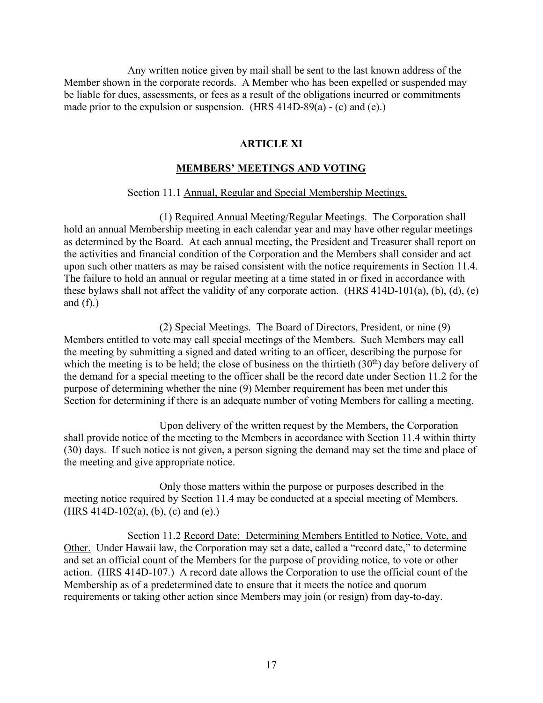Any written notice given by mail shall be sent to the last known address of the Member shown in the corporate records. A Member who has been expelled or suspended may be liable for dues, assessments, or fees as a result of the obligations incurred or commitments made prior to the expulsion or suspension. (HRS  $414D-89(a) - (c)$  and  $(e)$ .)

#### **ARTICLE XI**

#### **MEMBERS' MEETINGS AND VOTING**

#### Section 11.1 Annual, Regular and Special Membership Meetings.

(1) Required Annual Meeting/Regular Meetings. The Corporation shall hold an annual Membership meeting in each calendar year and may have other regular meetings as determined by the Board. At each annual meeting, the President and Treasurer shall report on the activities and financial condition of the Corporation and the Members shall consider and act upon such other matters as may be raised consistent with the notice requirements in Section 11.4. The failure to hold an annual or regular meeting at a time stated in or fixed in accordance with these bylaws shall not affect the validity of any corporate action. (HRS  $414D-101(a)$ , (b), (d), (e) and  $(f)$ .)

 (2) Special Meetings. The Board of Directors, President, or nine (9) Members entitled to vote may call special meetings of the Members. Such Members may call the meeting by submitting a signed and dated writing to an officer, describing the purpose for which the meeting is to be held; the close of business on the thirtieth  $(30<sup>th</sup>)$  day before delivery of the demand for a special meeting to the officer shall be the record date under Section 11.2 for the purpose of determining whether the nine (9) Member requirement has been met under this Section for determining if there is an adequate number of voting Members for calling a meeting.

 Upon delivery of the written request by the Members, the Corporation shall provide notice of the meeting to the Members in accordance with Section 11.4 within thirty (30) days. If such notice is not given, a person signing the demand may set the time and place of the meeting and give appropriate notice.

 Only those matters within the purpose or purposes described in the meeting notice required by Section 11.4 may be conducted at a special meeting of Members. (HRS 414D-102(a), (b), (c) and (e).)

 Section 11.2 Record Date: Determining Members Entitled to Notice, Vote, and Other. Under Hawaii law, the Corporation may set a date, called a "record date," to determine and set an official count of the Members for the purpose of providing notice, to vote or other action. (HRS 414D-107.) A record date allows the Corporation to use the official count of the Membership as of a predetermined date to ensure that it meets the notice and quorum requirements or taking other action since Members may join (or resign) from day-to-day.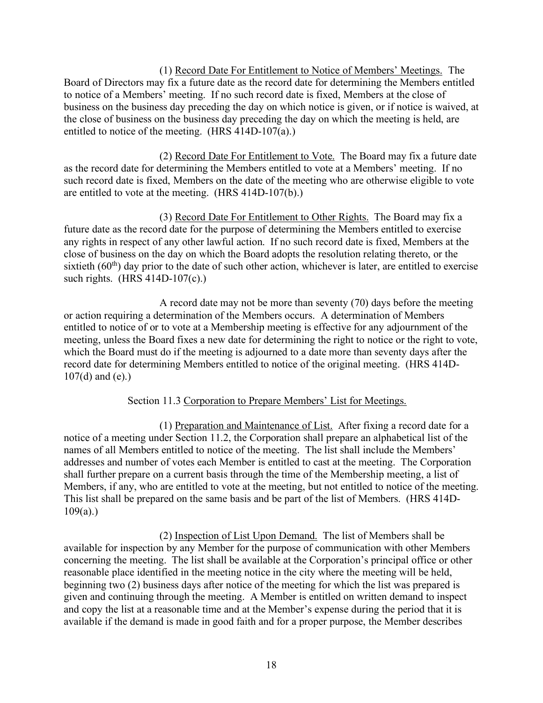(1) Record Date For Entitlement to Notice of Members' Meetings. The Board of Directors may fix a future date as the record date for determining the Members entitled to notice of a Members' meeting. If no such record date is fixed, Members at the close of business on the business day preceding the day on which notice is given, or if notice is waived, at the close of business on the business day preceding the day on which the meeting is held, are entitled to notice of the meeting. (HRS 414D-107(a).)

 (2) Record Date For Entitlement to Vote. The Board may fix a future date as the record date for determining the Members entitled to vote at a Members' meeting. If no such record date is fixed, Members on the date of the meeting who are otherwise eligible to vote are entitled to vote at the meeting. (HRS 414D-107(b).)

 (3) Record Date For Entitlement to Other Rights. The Board may fix a future date as the record date for the purpose of determining the Members entitled to exercise any rights in respect of any other lawful action. If no such record date is fixed, Members at the close of business on the day on which the Board adopts the resolution relating thereto, or the sixtieth  $(60<sup>th</sup>)$  day prior to the date of such other action, whichever is later, are entitled to exercise such rights. (HRS 414D-107(c).)

 A record date may not be more than seventy (70) days before the meeting or action requiring a determination of the Members occurs. A determination of Members entitled to notice of or to vote at a Membership meeting is effective for any adjournment of the meeting, unless the Board fixes a new date for determining the right to notice or the right to vote, which the Board must do if the meeting is adjourned to a date more than seventy days after the record date for determining Members entitled to notice of the original meeting. (HRS 414D-107(d) and (e).)

# Section 11.3 Corporation to Prepare Members' List for Meetings.

 (1) Preparation and Maintenance of List. After fixing a record date for a notice of a meeting under Section 11.2, the Corporation shall prepare an alphabetical list of the names of all Members entitled to notice of the meeting. The list shall include the Members' addresses and number of votes each Member is entitled to cast at the meeting. The Corporation shall further prepare on a current basis through the time of the Membership meeting, a list of Members, if any, who are entitled to vote at the meeting, but not entitled to notice of the meeting. This list shall be prepared on the same basis and be part of the list of Members. (HRS 414D- $109(a)$ .)

 (2) Inspection of List Upon Demand. The list of Members shall be available for inspection by any Member for the purpose of communication with other Members concerning the meeting. The list shall be available at the Corporation's principal office or other reasonable place identified in the meeting notice in the city where the meeting will be held, beginning two (2) business days after notice of the meeting for which the list was prepared is given and continuing through the meeting. A Member is entitled on written demand to inspect and copy the list at a reasonable time and at the Member's expense during the period that it is available if the demand is made in good faith and for a proper purpose, the Member describes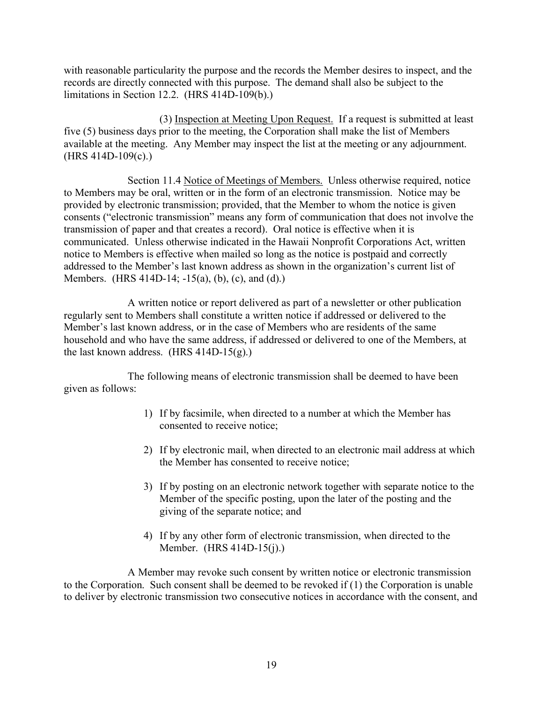with reasonable particularity the purpose and the records the Member desires to inspect, and the records are directly connected with this purpose. The demand shall also be subject to the limitations in Section 12.2. (HRS 414D-109(b).)

 (3) Inspection at Meeting Upon Request. If a request is submitted at least five (5) business days prior to the meeting, the Corporation shall make the list of Members available at the meeting. Any Member may inspect the list at the meeting or any adjournment. (HRS 414D-109(c).)

Section 11.4 Notice of Meetings of Members. Unless otherwise required, notice to Members may be oral, written or in the form of an electronic transmission. Notice may be provided by electronic transmission; provided, that the Member to whom the notice is given consents ("electronic transmission" means any form of communication that does not involve the transmission of paper and that creates a record). Oral notice is effective when it is communicated. Unless otherwise indicated in the Hawaii Nonprofit Corporations Act, written notice to Members is effective when mailed so long as the notice is postpaid and correctly addressed to the Member's last known address as shown in the organization's current list of Members. (HRS 414D-14; -15(a), (b), (c), and (d).)

 A written notice or report delivered as part of a newsletter or other publication regularly sent to Members shall constitute a written notice if addressed or delivered to the Member's last known address, or in the case of Members who are residents of the same household and who have the same address, if addressed or delivered to one of the Members, at the last known address. (HRS 414D-15(g).)

 The following means of electronic transmission shall be deemed to have been given as follows:

- 1) If by facsimile, when directed to a number at which the Member has consented to receive notice;
- 2) If by electronic mail, when directed to an electronic mail address at which the Member has consented to receive notice;
- 3) If by posting on an electronic network together with separate notice to the Member of the specific posting, upon the later of the posting and the giving of the separate notice; and
- 4) If by any other form of electronic transmission, when directed to the Member. (HRS 414D-15(j).)

 A Member may revoke such consent by written notice or electronic transmission to the Corporation. Such consent shall be deemed to be revoked if (1) the Corporation is unable to deliver by electronic transmission two consecutive notices in accordance with the consent, and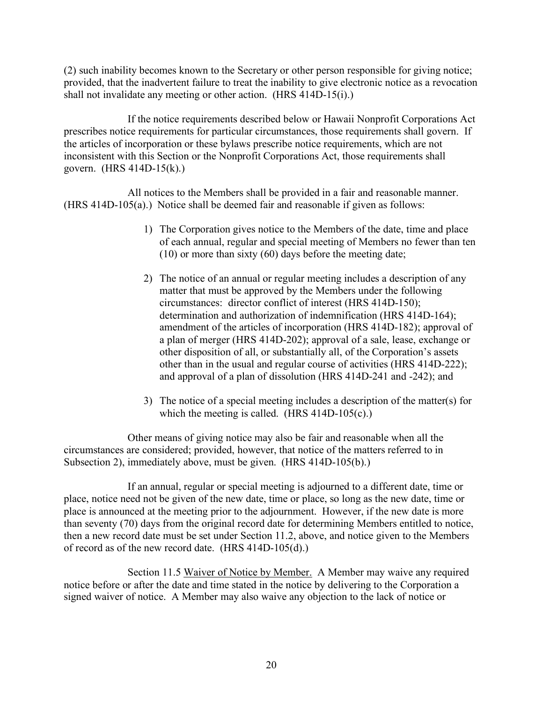(2) such inability becomes known to the Secretary or other person responsible for giving notice; provided, that the inadvertent failure to treat the inability to give electronic notice as a revocation shall not invalidate any meeting or other action. (HRS 414D-15(i).)

 If the notice requirements described below or Hawaii Nonprofit Corporations Act prescribes notice requirements for particular circumstances, those requirements shall govern. If the articles of incorporation or these bylaws prescribe notice requirements, which are not inconsistent with this Section or the Nonprofit Corporations Act, those requirements shall govern. (HRS 414D-15(k).)

 All notices to the Members shall be provided in a fair and reasonable manner. (HRS 414D-105(a).) Notice shall be deemed fair and reasonable if given as follows:

- 1) The Corporation gives notice to the Members of the date, time and place of each annual, regular and special meeting of Members no fewer than ten (10) or more than sixty (60) days before the meeting date;
- 2) The notice of an annual or regular meeting includes a description of any matter that must be approved by the Members under the following circumstances: director conflict of interest (HRS 414D-150); determination and authorization of indemnification (HRS 414D-164); amendment of the articles of incorporation (HRS 414D-182); approval of a plan of merger (HRS 414D-202); approval of a sale, lease, exchange or other disposition of all, or substantially all, of the Corporation's assets other than in the usual and regular course of activities (HRS 414D-222); and approval of a plan of dissolution (HRS 414D-241 and -242); and
- 3) The notice of a special meeting includes a description of the matter(s) for which the meeting is called. (HRS 414D-105(c).)

 Other means of giving notice may also be fair and reasonable when all the circumstances are considered; provided, however, that notice of the matters referred to in Subsection 2), immediately above, must be given. (HRS 414D-105(b).)

 If an annual, regular or special meeting is adjourned to a different date, time or place, notice need not be given of the new date, time or place, so long as the new date, time or place is announced at the meeting prior to the adjournment. However, if the new date is more than seventy (70) days from the original record date for determining Members entitled to notice, then a new record date must be set under Section 11.2, above, and notice given to the Members of record as of the new record date. (HRS 414D-105(d).)

 Section 11.5 Waiver of Notice by Member. A Member may waive any required notice before or after the date and time stated in the notice by delivering to the Corporation a signed waiver of notice. A Member may also waive any objection to the lack of notice or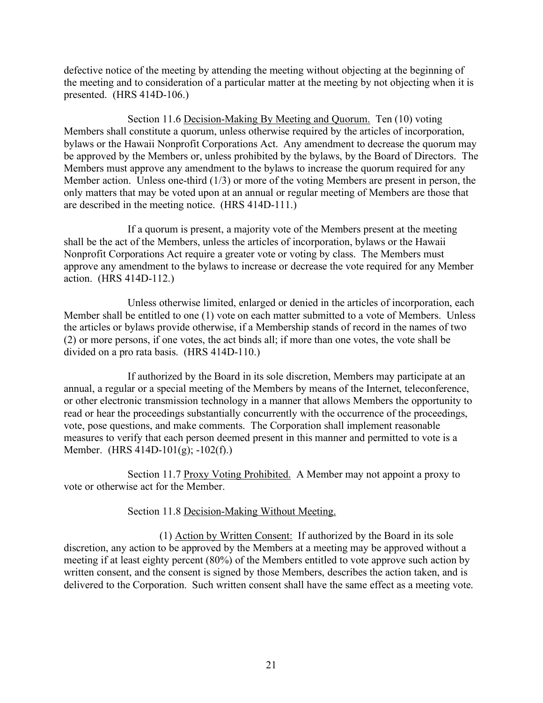defective notice of the meeting by attending the meeting without objecting at the beginning of the meeting and to consideration of a particular matter at the meeting by not objecting when it is presented. (HRS 414D-106.)

Section 11.6 Decision-Making By Meeting and Quorum. Ten (10) voting Members shall constitute a quorum, unless otherwise required by the articles of incorporation, bylaws or the Hawaii Nonprofit Corporations Act. Any amendment to decrease the quorum may be approved by the Members or, unless prohibited by the bylaws, by the Board of Directors. The Members must approve any amendment to the bylaws to increase the quorum required for any Member action. Unless one-third (1/3) or more of the voting Members are present in person, the only matters that may be voted upon at an annual or regular meeting of Members are those that are described in the meeting notice. (HRS 414D-111.)

 If a quorum is present, a majority vote of the Members present at the meeting shall be the act of the Members, unless the articles of incorporation, bylaws or the Hawaii Nonprofit Corporations Act require a greater vote or voting by class. The Members must approve any amendment to the bylaws to increase or decrease the vote required for any Member action. (HRS 414D-112.)

Unless otherwise limited, enlarged or denied in the articles of incorporation, each Member shall be entitled to one (1) vote on each matter submitted to a vote of Members. Unless the articles or bylaws provide otherwise, if a Membership stands of record in the names of two (2) or more persons, if one votes, the act binds all; if more than one votes, the vote shall be divided on a pro rata basis. (HRS 414D-110.)

 If authorized by the Board in its sole discretion, Members may participate at an annual, a regular or a special meeting of the Members by means of the Internet, teleconference, or other electronic transmission technology in a manner that allows Members the opportunity to read or hear the proceedings substantially concurrently with the occurrence of the proceedings, vote, pose questions, and make comments. The Corporation shall implement reasonable measures to verify that each person deemed present in this manner and permitted to vote is a Member. (HRS 414D-101(g); -102(f).)

Section 11.7 Proxy Voting Prohibited. A Member may not appoint a proxy to vote or otherwise act for the Member.

# Section 11.8 Decision-Making Without Meeting.

 (1) Action by Written Consent: If authorized by the Board in its sole discretion, any action to be approved by the Members at a meeting may be approved without a meeting if at least eighty percent (80%) of the Members entitled to vote approve such action by written consent, and the consent is signed by those Members, describes the action taken, and is delivered to the Corporation. Such written consent shall have the same effect as a meeting vote.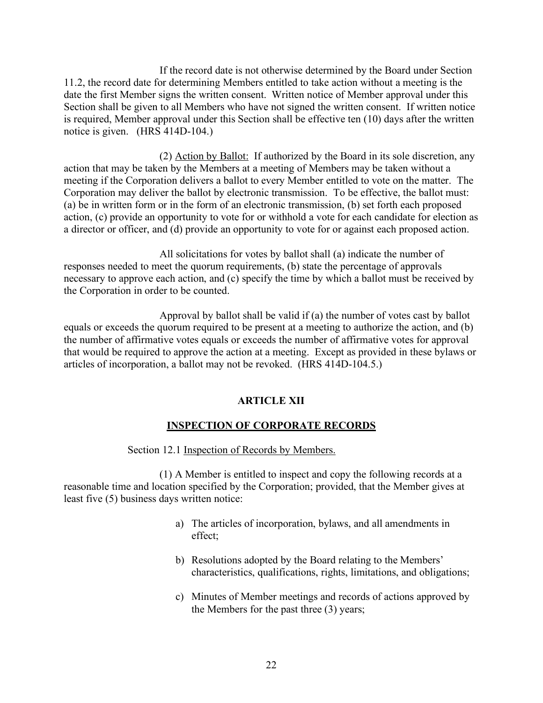If the record date is not otherwise determined by the Board under Section 11.2, the record date for determining Members entitled to take action without a meeting is the date the first Member signs the written consent. Written notice of Member approval under this Section shall be given to all Members who have not signed the written consent. If written notice is required, Member approval under this Section shall be effective ten (10) days after the written notice is given. (HRS 414D-104.)

(2) Action by Ballot: If authorized by the Board in its sole discretion, any action that may be taken by the Members at a meeting of Members may be taken without a meeting if the Corporation delivers a ballot to every Member entitled to vote on the matter. The Corporation may deliver the ballot by electronic transmission. To be effective, the ballot must: (a) be in written form or in the form of an electronic transmission, (b) set forth each proposed action, (c) provide an opportunity to vote for or withhold a vote for each candidate for election as a director or officer, and (d) provide an opportunity to vote for or against each proposed action.

All solicitations for votes by ballot shall (a) indicate the number of responses needed to meet the quorum requirements, (b) state the percentage of approvals necessary to approve each action, and (c) specify the time by which a ballot must be received by the Corporation in order to be counted.

Approval by ballot shall be valid if (a) the number of votes cast by ballot equals or exceeds the quorum required to be present at a meeting to authorize the action, and (b) the number of affirmative votes equals or exceeds the number of affirmative votes for approval that would be required to approve the action at a meeting. Except as provided in these bylaws or articles of incorporation, a ballot may not be revoked. (HRS 414D-104.5.)

## **ARTICLE XII**

## **INSPECTION OF CORPORATE RECORDS**

Section 12.1 Inspection of Records by Members.

 (1) A Member is entitled to inspect and copy the following records at a reasonable time and location specified by the Corporation; provided, that the Member gives at least five (5) business days written notice:

- a) The articles of incorporation, bylaws, and all amendments in effect;
- b) Resolutions adopted by the Board relating to the Members' characteristics, qualifications, rights, limitations, and obligations;
- c) Minutes of Member meetings and records of actions approved by the Members for the past three (3) years;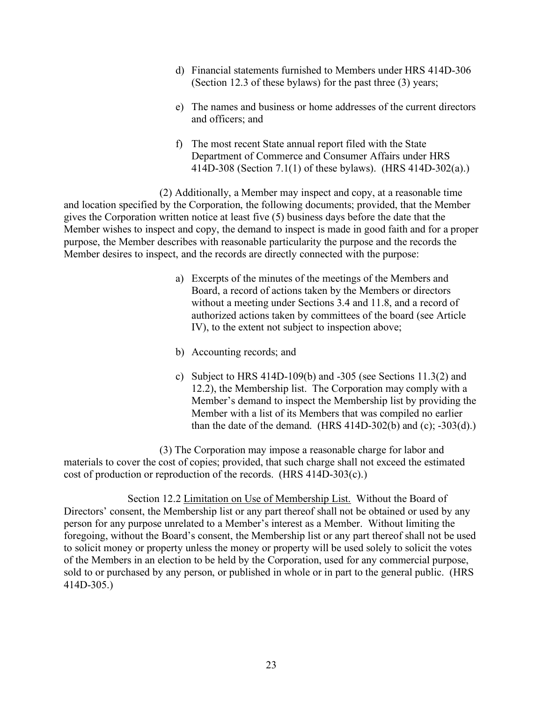- d) Financial statements furnished to Members under HRS 414D-306 (Section 12.3 of these bylaws) for the past three (3) years;
- e) The names and business or home addresses of the current directors and officers; and
- f) The most recent State annual report filed with the State Department of Commerce and Consumer Affairs under HRS 414D-308 (Section 7.1(1) of these bylaws). (HRS 414D-302(a).)

 (2) Additionally, a Member may inspect and copy, at a reasonable time and location specified by the Corporation, the following documents; provided, that the Member gives the Corporation written notice at least five (5) business days before the date that the Member wishes to inspect and copy, the demand to inspect is made in good faith and for a proper purpose, the Member describes with reasonable particularity the purpose and the records the Member desires to inspect, and the records are directly connected with the purpose:

- a) Excerpts of the minutes of the meetings of the Members and Board, a record of actions taken by the Members or directors without a meeting under Sections 3.4 and 11.8, and a record of authorized actions taken by committees of the board (see Article IV), to the extent not subject to inspection above;
- b) Accounting records; and
- c) Subject to HRS  $414D-109(b)$  and  $-305$  (see Sections  $11.3(2)$  and 12.2), the Membership list. The Corporation may comply with a Member's demand to inspect the Membership list by providing the Member with a list of its Members that was compiled no earlier than the date of the demand. (HRS  $414D-302(b)$  and (c);  $-303(d)$ .)

(3) The Corporation may impose a reasonable charge for labor and materials to cover the cost of copies; provided, that such charge shall not exceed the estimated cost of production or reproduction of the records. (HRS 414D-303(c).)

 Section 12.2 Limitation on Use of Membership List. Without the Board of Directors' consent, the Membership list or any part thereof shall not be obtained or used by any person for any purpose unrelated to a Member's interest as a Member. Without limiting the foregoing, without the Board's consent, the Membership list or any part thereof shall not be used to solicit money or property unless the money or property will be used solely to solicit the votes of the Members in an election to be held by the Corporation, used for any commercial purpose, sold to or purchased by any person, or published in whole or in part to the general public. (HRS 414D-305.)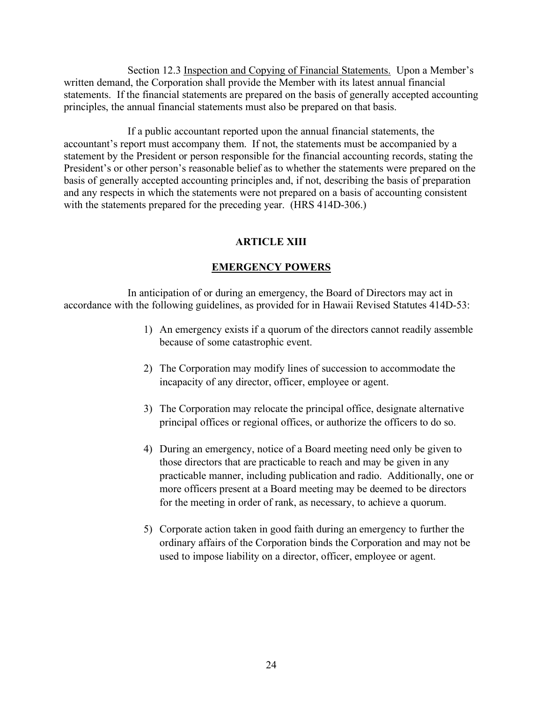Section 12.3 Inspection and Copying of Financial Statements. Upon a Member's written demand, the Corporation shall provide the Member with its latest annual financial statements. If the financial statements are prepared on the basis of generally accepted accounting principles, the annual financial statements must also be prepared on that basis.

 If a public accountant reported upon the annual financial statements, the accountant's report must accompany them. If not, the statements must be accompanied by a statement by the President or person responsible for the financial accounting records, stating the President's or other person's reasonable belief as to whether the statements were prepared on the basis of generally accepted accounting principles and, if not, describing the basis of preparation and any respects in which the statements were not prepared on a basis of accounting consistent with the statements prepared for the preceding year. (HRS 414D-306.)

# **ARTICLE XIII**

# **EMERGENCY POWERS**

 In anticipation of or during an emergency, the Board of Directors may act in accordance with the following guidelines, as provided for in Hawaii Revised Statutes 414D-53:

- 1) An emergency exists if a quorum of the directors cannot readily assemble because of some catastrophic event.
- 2) The Corporation may modify lines of succession to accommodate the incapacity of any director, officer, employee or agent.
- 3) The Corporation may relocate the principal office, designate alternative principal offices or regional offices, or authorize the officers to do so.
- 4) During an emergency, notice of a Board meeting need only be given to those directors that are practicable to reach and may be given in any practicable manner, including publication and radio. Additionally, one or more officers present at a Board meeting may be deemed to be directors for the meeting in order of rank, as necessary, to achieve a quorum.
- 5) Corporate action taken in good faith during an emergency to further the ordinary affairs of the Corporation binds the Corporation and may not be used to impose liability on a director, officer, employee or agent.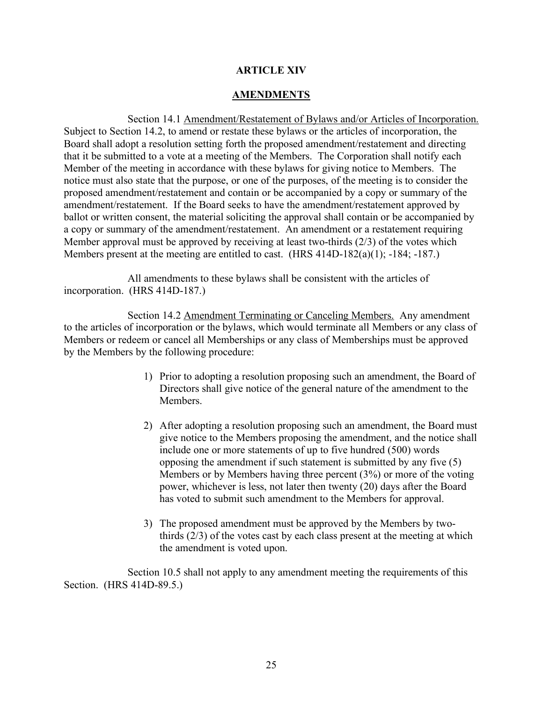## **ARTICLE XIV**

## **AMENDMENTS**

 Section 14.1 Amendment/Restatement of Bylaws and/or Articles of Incorporation. Subject to Section 14.2, to amend or restate these bylaws or the articles of incorporation, the Board shall adopt a resolution setting forth the proposed amendment/restatement and directing that it be submitted to a vote at a meeting of the Members. The Corporation shall notify each Member of the meeting in accordance with these bylaws for giving notice to Members. The notice must also state that the purpose, or one of the purposes, of the meeting is to consider the proposed amendment/restatement and contain or be accompanied by a copy or summary of the amendment/restatement. If the Board seeks to have the amendment/restatement approved by ballot or written consent, the material soliciting the approval shall contain or be accompanied by a copy or summary of the amendment/restatement. An amendment or a restatement requiring Member approval must be approved by receiving at least two-thirds (2/3) of the votes which Members present at the meeting are entitled to cast. (HRS 414D-182(a)(1); -184; -187.)

All amendments to these bylaws shall be consistent with the articles of incorporation. (HRS 414D-187.)

 Section 14.2 Amendment Terminating or Canceling Members. Any amendment to the articles of incorporation or the bylaws, which would terminate all Members or any class of Members or redeem or cancel all Memberships or any class of Memberships must be approved by the Members by the following procedure:

- 1) Prior to adopting a resolution proposing such an amendment, the Board of Directors shall give notice of the general nature of the amendment to the Members.
- 2) After adopting a resolution proposing such an amendment, the Board must give notice to the Members proposing the amendment, and the notice shall include one or more statements of up to five hundred (500) words opposing the amendment if such statement is submitted by any five (5) Members or by Members having three percent (3%) or more of the voting power, whichever is less, not later then twenty (20) days after the Board has voted to submit such amendment to the Members for approval.
- 3) The proposed amendment must be approved by the Members by twothirds (2/3) of the votes cast by each class present at the meeting at which the amendment is voted upon.

 Section 10.5 shall not apply to any amendment meeting the requirements of this Section. (HRS 414D-89.5.)